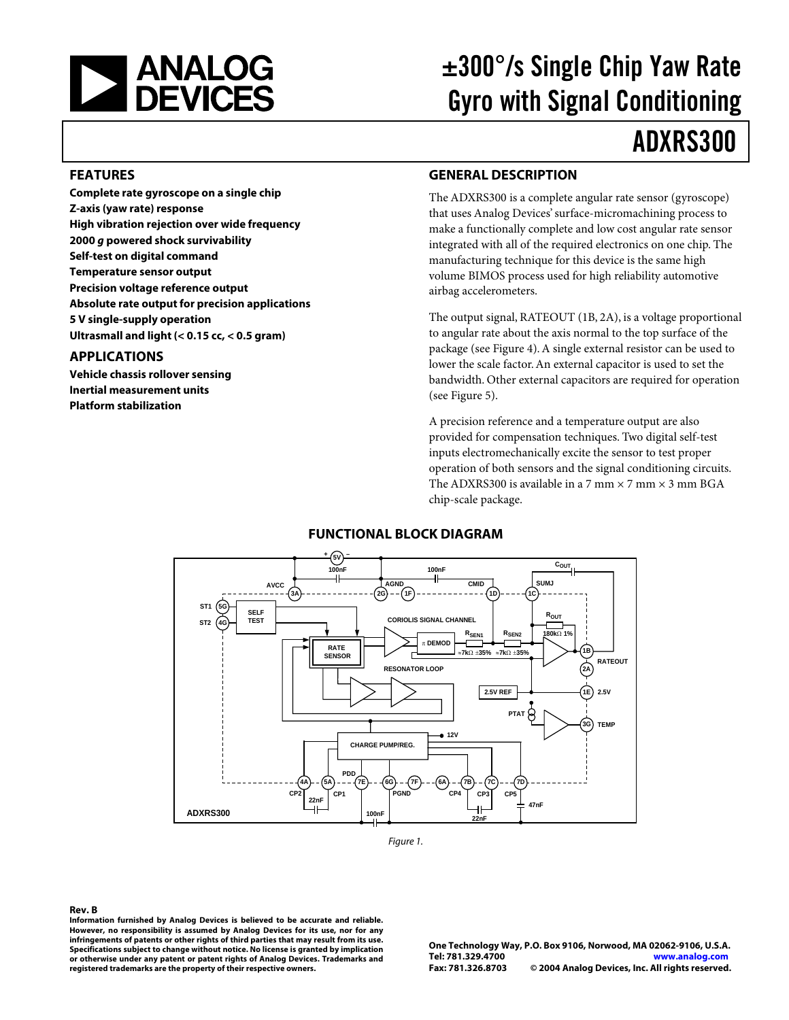

# ±300°/s Single Chip Yaw Rate Gyro with Signal Conditioning

# ADXRS300

#### **FEATURES**

**Complete rate gyroscope on a single chip Z-axis (yaw rate) response High vibration rejection over wide frequency 2000 g powered shock survivability Self-test on digital command Temperature sensor output Precision voltage reference output Absolute rate output for precision applications 5 V single-supply operation Ultrasmall and light (< 0.15 cc, < 0.5 gram)**

#### **APPLICATIONS**

**Vehicle chassis rollover sensing Inertial measurement units Platform stabilization**

#### **GENERAL DESCRIPTION**

The ADXRS300 is a complete angular rate sensor (gyroscope) that uses Analog Devices' surface-micromachining process to make a functionally complete and low cost angular rate sensor integrated with all of the required electronics on one chip. The manufacturing technique for this device is the same high volume BIMOS process used for high reliability automotive airbag accelerometers.

The output signal, RATEOUT (1B, 2A), is a voltage proportional to angular rate about the axis normal to the top surface of the package (see [Figure 4\).](#page-5-0) A single external resistor can be used to lower the scale factor. An external capacitor is used to set the bandwidth. Other external capacitors are required for operation (see [Figure 5\)](#page-5-1).

A precision reference and a temperature output are also provided for compensation techniques. Two digital self-test inputs electromechanically excite the sensor to test proper operation of both sensors and the signal conditioning circuits. The ADXRS300 is available in a 7 mm  $\times$  7 mm  $\times$  3 mm BGA chip-scale package.

### **FUNCTIONAL BLOCK DIAGRAM**



Figure 1.

#### **Rev. B**

**Information furnished by Analog Devices is believed to be accurate and reliable. However, no responsibility is assumed by Analog Devices for its use, nor for any infringements of patents or other rights of third parties that may result from its use. Specifications subject to change without notice. No license is granted by implication or otherwise under any patent or patent rights of Analog Devices. Trademarks and registered trademarks are the property of their respective owners.**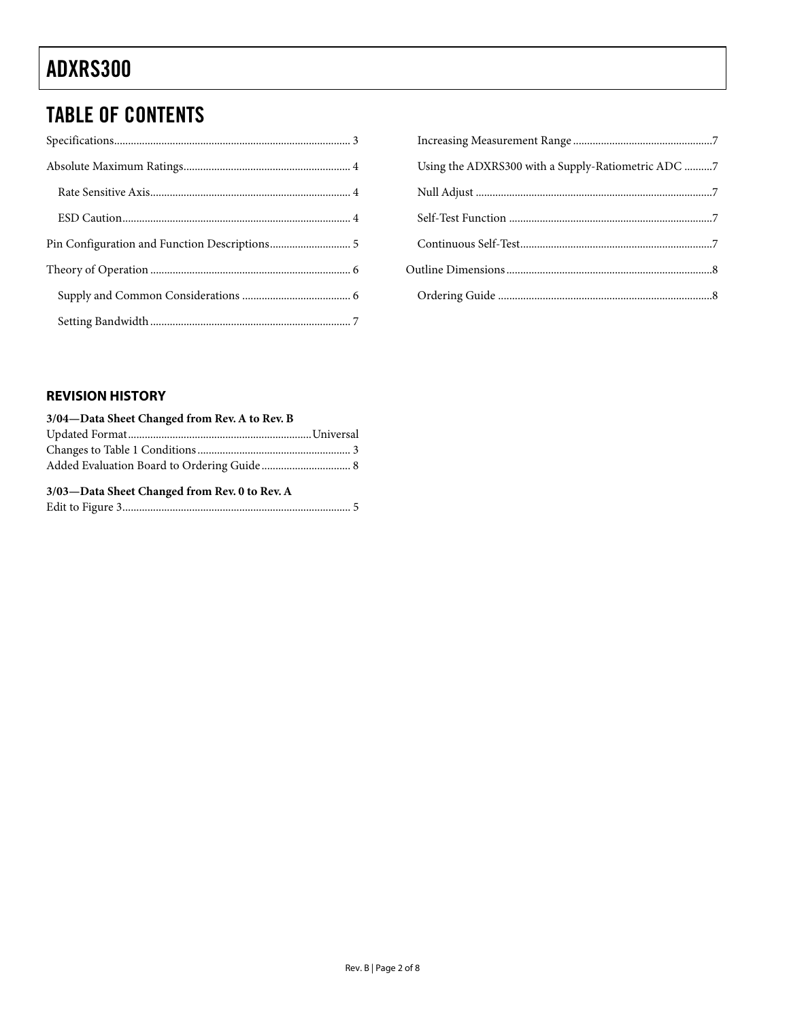# ADXRS300

# TABLE OF CONTENTS

| Using the ADXRS300 with a Supply-Ratiometric ADC 7 |  |
|----------------------------------------------------|--|
|                                                    |  |
|                                                    |  |
|                                                    |  |
|                                                    |  |
|                                                    |  |

# **REVISION HISTORY**

| 3/04-Data Sheet Changed from Rev. A to Rev. B |  |
|-----------------------------------------------|--|
|                                               |  |
|                                               |  |
|                                               |  |
| 3/03-Data Sheet Changed from Rev. 0 to Rev. A |  |
|                                               |  |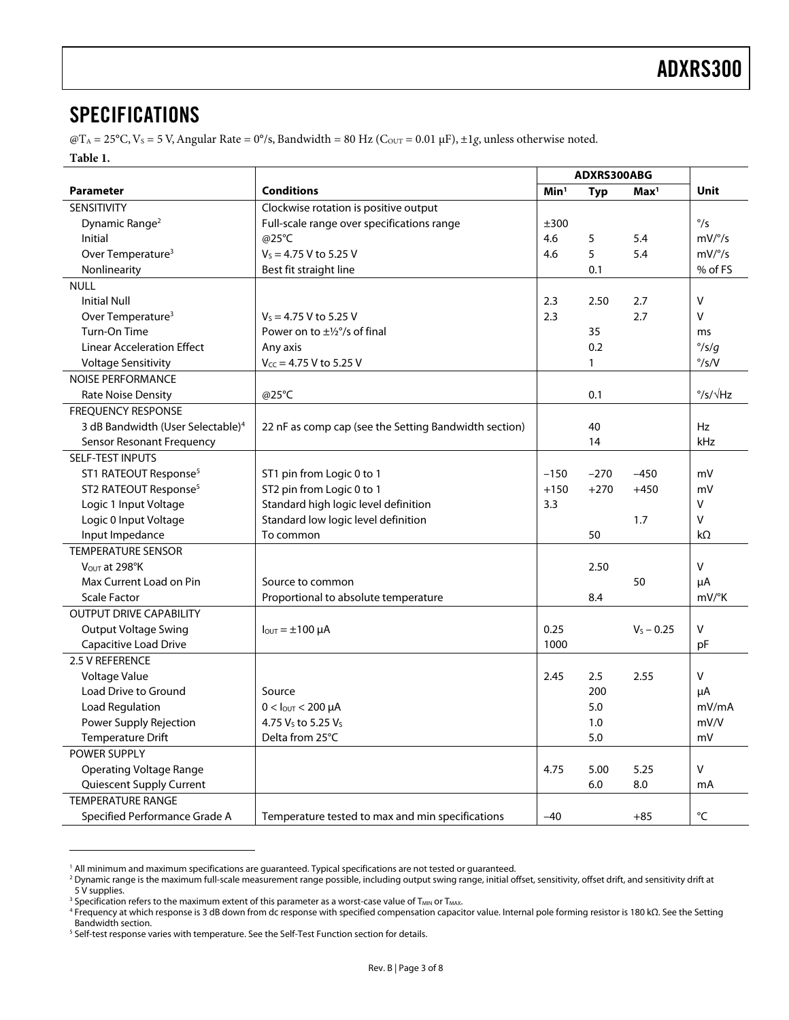# <span id="page-2-0"></span>SPECIFICATIONS

 $\omega$ T<sub>A</sub> = 25°C, V<sub>s</sub> = 5 V, Angular Rate = 0°/s, Bandwidth = 80 Hz (C<sub>OUT</sub> = 0.01 µF), ±1g, unless otherwise noted.

#### <span id="page-2-1"></span>**Table 1.**

 $\overline{a}$ 

<span id="page-2-3"></span><span id="page-2-2"></span>

|                                               |                                                       | ADXRS300ABG      |        |                  |                           |
|-----------------------------------------------|-------------------------------------------------------|------------------|--------|------------------|---------------------------|
| Parameter                                     | <b>Conditions</b>                                     | Min <sup>1</sup> | Typ    | Max <sup>1</sup> | Unit                      |
| SENSITIVITY                                   | Clockwise rotation is positive output                 |                  |        |                  |                           |
| Dynamic Range <sup>2</sup>                    | Full-scale range over specifications range            | ±300             |        |                  | $\degree$ /s              |
| Initial                                       | @25°C                                                 |                  | 5      | 5.4              | mV/°/s                    |
| Over Temperature <sup>3</sup>                 | $V_s = 4.75$ V to 5.25 V                              | 4.6              | 5      | 5.4              | mV/°/s                    |
| Nonlinearity                                  | Best fit straight line                                |                  | 0.1    |                  | % of FS                   |
| <b>NULL</b>                                   |                                                       |                  |        |                  |                           |
| <b>Initial Null</b>                           |                                                       | 2.3              | 2.50   | 2.7              | V                         |
| Over Temperature <sup>3</sup>                 | $V_s = 4.75$ V to 5.25 V                              | 2.3              |        | 2.7              | $\vee$                    |
| Turn-On Time                                  | Power on to $\pm\frac{1}{2}$ °/s of final             |                  | 35     |                  | ms                        |
| <b>Linear Acceleration Effect</b>             | Any axis                                              |                  | 0.2    |                  | $\degree$ /s/g            |
| <b>Voltage Sensitivity</b>                    | $V_{CC}$ = 4.75 V to 5.25 V                           |                  | 1      |                  | $\degree$ /s/V            |
| <b>NOISE PERFORMANCE</b>                      |                                                       |                  |        |                  |                           |
| <b>Rate Noise Density</b>                     | @25°C                                                 |                  | 0.1    |                  | $\degree$ /s/ $\sqrt{Hz}$ |
| <b>FREQUENCY RESPONSE</b>                     |                                                       |                  |        |                  |                           |
| 3 dB Bandwidth (User Selectable) <sup>4</sup> | 22 nF as comp cap (see the Setting Bandwidth section) |                  | 40     |                  | Hz                        |
| Sensor Resonant Frequency                     |                                                       |                  | 14     |                  | kHz                       |
| <b>SELF-TEST INPUTS</b>                       |                                                       |                  |        |                  |                           |
| ST1 RATEOUT Response <sup>5</sup>             | ST1 pin from Logic 0 to 1                             | $-150$           | $-270$ | $-450$           | mV                        |
| ST2 RATEOUT Response <sup>5</sup>             | ST2 pin from Logic 0 to 1                             | $+150$           | $+270$ | $+450$           | mV                        |
| Logic 1 Input Voltage                         | Standard high logic level definition                  | 3.3              |        |                  | V                         |
| Logic 0 Input Voltage                         | Standard low logic level definition                   |                  |        | 1.7              | V                         |
| Input Impedance<br>To common                  |                                                       |                  | 50     |                  | kΩ                        |
| <b>TEMPERATURE SENSOR</b>                     |                                                       |                  |        |                  |                           |
| VOUT at 298°K                                 |                                                       |                  | 2.50   |                  | $\vee$                    |
| Max Current Load on Pin                       | Source to common                                      |                  |        | 50               | μA                        |
| <b>Scale Factor</b>                           | Proportional to absolute temperature                  |                  | 8.4    |                  | mV/°K                     |
| <b>OUTPUT DRIVE CAPABILITY</b>                |                                                       |                  |        |                  |                           |
| <b>Output Voltage Swing</b>                   | $I_{\text{OUT}} = \pm 100 \mu A$                      | 0.25             |        | $V_5 - 0.25$     | $\vee$                    |
| Capacitive Load Drive                         |                                                       | 1000             |        |                  | pF                        |
| 2.5 V REFERENCE                               |                                                       |                  |        |                  |                           |
| Voltage Value                                 |                                                       | 2.45             | 2.5    | 2.55             | V                         |
| Load Drive to Ground                          | Source                                                |                  | 200    |                  | μA                        |
| Load Regulation                               | $0 <$ lout < 200 µA                                   |                  | 5.0    |                  | mV/mA                     |
| Power Supply Rejection                        | 4.75 Vs to 5.25 Vs                                    |                  | 1.0    |                  | mV/V                      |
| Temperature Drift                             | Delta from 25°C                                       |                  | 5.0    |                  | mV                        |
| <b>POWER SUPPLY</b>                           |                                                       |                  |        |                  |                           |
| <b>Operating Voltage Range</b>                |                                                       | 4.75             | 5.00   | 5.25             | V                         |
| Quiescent Supply Current                      |                                                       |                  | 6.0    | 8.0              | mA                        |
| <b>TEMPERATURE RANGE</b>                      |                                                       |                  |        |                  |                           |
| Specified Performance Grade A                 | Temperature tested to max and min specifications      | $-40$            |        | $+85$            | $\rm ^{\circ}C$           |

<span id="page-2-4"></span><sup>&</sup>lt;sup>1</sup> All minimum and maximum specifications are guaranteed. Typical specifications are not tested or guaranteed.<br><sup>2</sup> Dynamic range is the maximum full-scale measurement range possible, including output swing range, initial

<span id="page-2-5"></span>Dynamic range is the maximum full-scale measurement range possible, including output swing range, initial offset, sensitivity, offset drift, and sensitivity drift at 5 V supplies.

<span id="page-2-6"></span><sup>&</sup>lt;sup>3</sup> Specification refers to the maximum extent of this parameter as a worst-case value of T<sub>MIN</sub> or T<sub>MAX</sub>.<br><sup>4</sup> Frequency at which response is 3 dB down from de response with specified compensation capacit

<span id="page-2-7"></span>Frequency at which response is 3 dB down from dc response with specified compensation capacitor value. Internal pole forming resistor is 180 kΩ. See the Setting Bandwidth section.

<span id="page-2-8"></span><sup>&</sup>lt;sup>5</sup> Self-test response varies with temperature. See the Self-Test Function section for details.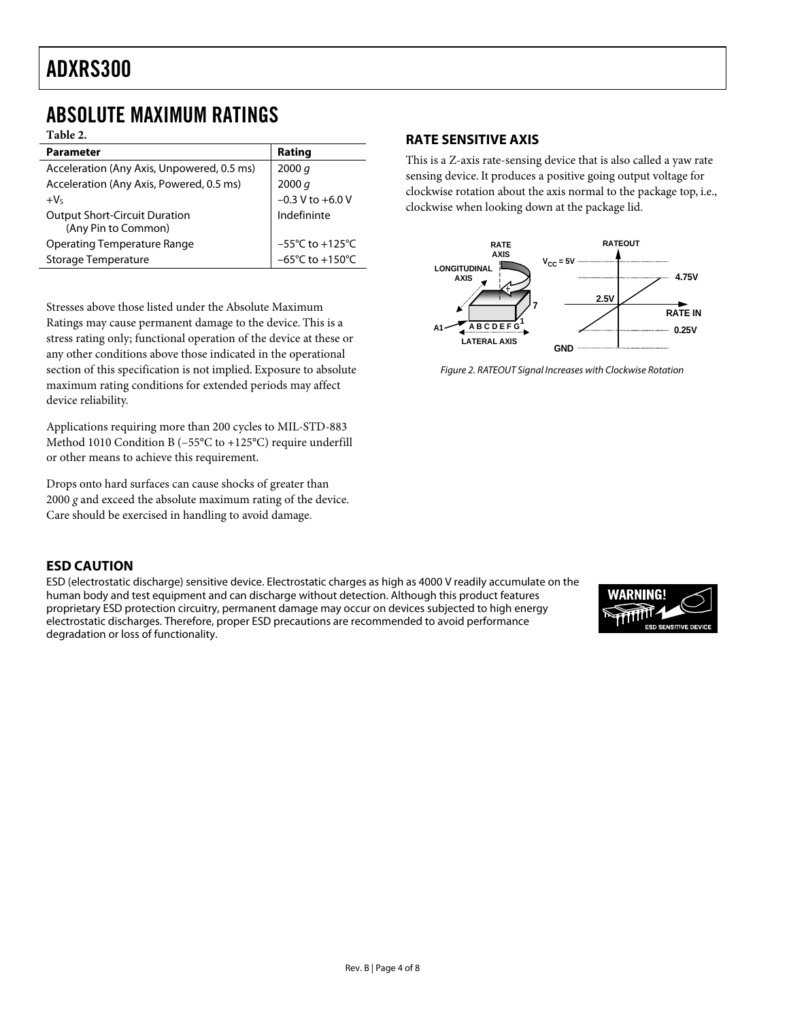# <span id="page-3-0"></span>ABSOLUTE MAXIMUM RATINGS

**Table 2.** 

| .                                          |                                     |
|--------------------------------------------|-------------------------------------|
| <b>Parameter</b>                           | Rating                              |
| Acceleration (Any Axis, Unpowered, 0.5 ms) | 2000 q                              |
| Acceleration (Any Axis, Powered, 0.5 ms)   | 2000 q                              |
| $+V5$                                      | $-0.3$ V to $+6.0$ V                |
| <b>Output Short-Circuit Duration</b>       | Indefininte                         |
| (Any Pin to Common)                        |                                     |
| Operating Temperature Range                | $-55^{\circ}$ C to $+125^{\circ}$ C |
| <b>Storage Temperature</b>                 | $-65^{\circ}$ C to $+150^{\circ}$ C |

Stresses above those listed under the Absolute Maximum Ratings may cause permanent damage to the device. This is a stress rating only; functional operation of the device at these or any other conditions above those indicated in the operational section of this specification is not implied. Exposure to absolute maximum rating conditions for extended periods may affect device reliability.

Applications requiring more than 200 cycles to MIL-STD-883 Method 1010 Condition B (–55°C to +125°C) require underfill or other means to achieve this requirement.

Drops onto hard surfaces can cause shocks of greater than 2000 *g* and exceed the absolute maximum rating of the device. Care should be exercised in handling to avoid damage.

### <span id="page-3-1"></span>**RATE SENSITIVE AXIS**

This is a Z-axis rate-sensing device that is also called a yaw rate sensing device. It produces a positive going output voltage for clockwise rotation about the axis normal to the package top, i.e., clockwise when looking down at the package lid.



Figure 2. RATEOUT Signal Increases with Clockwise Rotation

# <span id="page-3-2"></span>**ESD CAUTION**

ESD (electrostatic discharge) sensitive device. Electrostatic charges as high as 4000 V readily accumulate on the human body and test equipment and can discharge without detection. Although this product features proprietary ESD protection circuitry, permanent damage may occur on devices subjected to high energy electrostatic discharges. Therefore, proper ESD precautions are recommended to avoid performance degradation or loss of functionality.

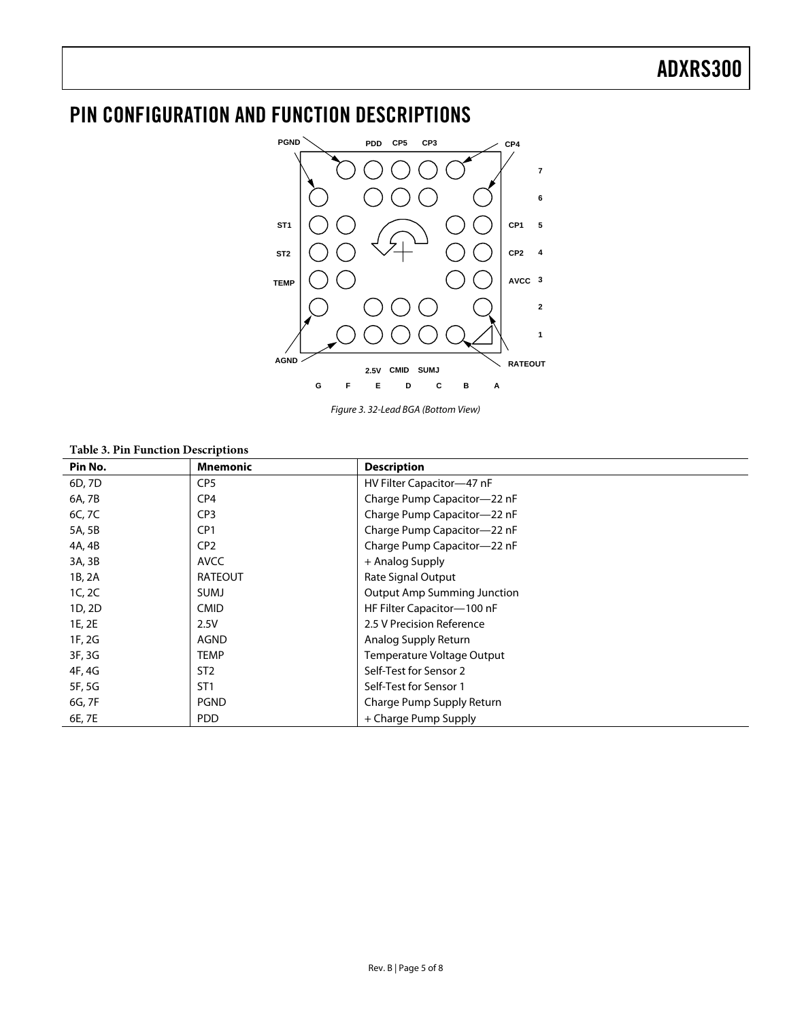# <span id="page-4-0"></span>PIN CONFIGURATION AND FUNCTION DESCRIPTIONS



Figure 3. 32-Lead BGA (Bottom View)

#### **Table 3. Pin Function Descriptions**

| Pin No. | <b>Mnemonic</b> | <b>Description</b>                 |
|---------|-----------------|------------------------------------|
| 6D, 7D  | CP <sub>5</sub> | HV Filter Capacitor-47 nF          |
| 6A, 7B  | CP <sub>4</sub> | Charge Pump Capacitor-22 nF        |
| 6C, 7C  | CP <sub>3</sub> | Charge Pump Capacitor-22 nF        |
| 5A, 5B  | CP <sub>1</sub> | Charge Pump Capacitor-22 nF        |
| 4A, 4B  | CP <sub>2</sub> | Charge Pump Capacitor-22 nF        |
| 3A, 3B  | AVCC            | + Analog Supply                    |
| 1B, 2A  | <b>RATEOUT</b>  | Rate Signal Output                 |
| 1C, 2C  | <b>SUMJ</b>     | <b>Output Amp Summing Junction</b> |
| 1D, 2D  | <b>CMID</b>     | HF Filter Capacitor-100 nF         |
| 1E, 2E  | 2.5V            | 2.5 V Precision Reference          |
| 1F, 2G  | AGND            | Analog Supply Return               |
| 3F, 3G  | <b>TEMP</b>     | Temperature Voltage Output         |
| 4F, 4G  | ST <sub>2</sub> | Self-Test for Sensor 2             |
| 5F, 5G  | ST <sub>1</sub> | Self-Test for Sensor 1             |
| 6G, 7F  | <b>PGND</b>     | Charge Pump Supply Return          |
| 6E, 7E  | <b>PDD</b>      | + Charge Pump Supply               |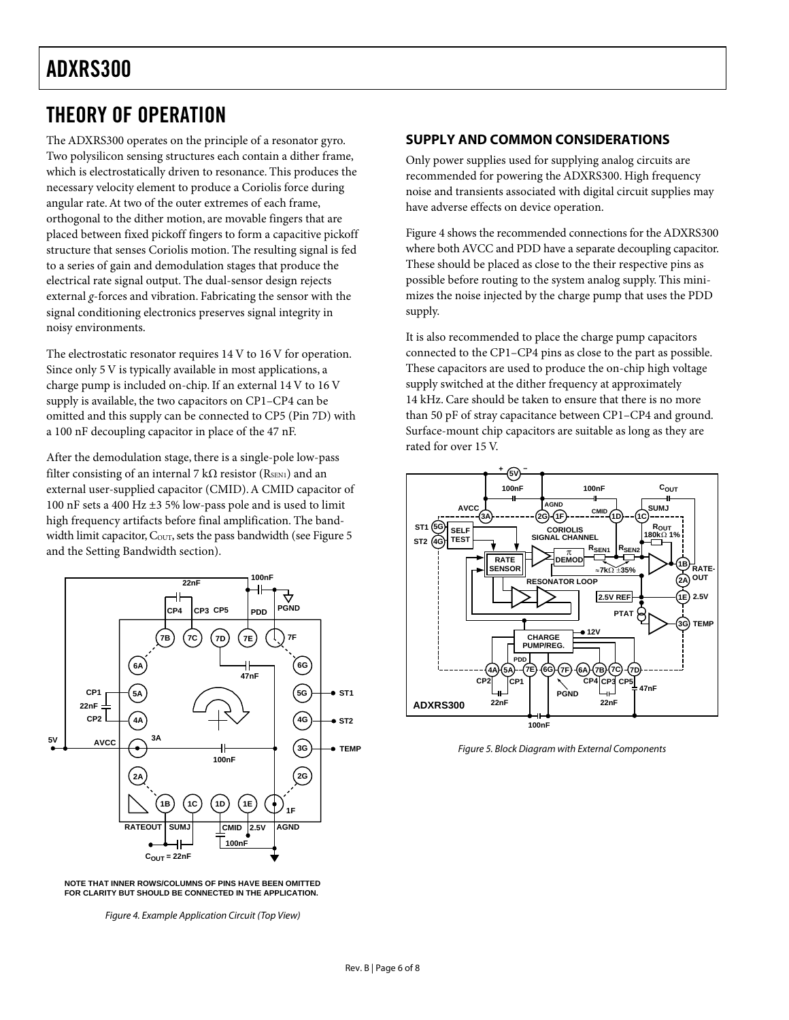# ADXRS300

# <span id="page-5-2"></span>THEORY OF OPERATION

The ADXRS300 operates on the principle of a resonator gyro. Two polysilicon sensing structures each contain a dither frame, which is electrostatically driven to resonance. This produces the necessary velocity element to produce a Coriolis force during angular rate. At two of the outer extremes of each frame, orthogonal to the dither motion, are movable fingers that are placed between fixed pickoff fingers to form a capacitive pickoff structure that senses Coriolis motion. The resulting signal is fed to a series of gain and demodulation stages that produce the electrical rate signal output. The dual-sensor design rejects external *g*-forces and vibration. Fabricating the sensor with the signal conditioning electronics preserves signal integrity in noisy environments.

The electrostatic resonator requires 14 V to 16 V for operation. Since only 5 V is typically available in most applications, a charge pump is included on-chip. If an external 14 V to 16 V supply is available, the two capacitors on CP1–CP4 can be omitted and this supply can be connected to CP5 (Pin 7D) with a 100 nF decoupling capacitor in place of the 47 nF.

After the demodulation stage, there is a single-pole low-pass filter consisting of an internal 7 k $\Omega$  resistor (R<sub>SEN1</sub>) and an external user-supplied capacitor (CMID). A CMID capacitor of 100 nF sets a 400 Hz ±3 5% low-pass pole and is used to limit high frequency artifacts before final amplification. The bandwidth limit capacitor, Cour, sets the pass bandwidth (see Figure 5 and the [Setting Bandwidth s](#page-6-0)ection).

<span id="page-5-0"></span>

**NOTE THAT INNER ROWS/COLUMNS OF PINS HAVE BEEN OMITTED FOR CLARITY BUT SHOULD BE CONNECTED IN THE APPLICATION.**

Figure 4. Example Application Circuit (Top View)

### <span id="page-5-3"></span>**SUPPLY AND COMMON CONSIDERATIONS**

Only power supplies used for supplying analog circuits are recommended for powering the ADXRS300. High frequency noise and transients associated with digital circuit supplies may have adverse effects on device operation.

[Figure 4 s](#page-5-0)hows the recommended connections for the ADXRS300 where both AVCC and PDD have a separate decoupling capacitor. These should be placed as close to the their respective pins as possible before routing to the system analog supply. This minimizes the noise injected by the charge pump that uses the PDD supply.

It is also recommended to place the charge pump capacitors connected to the CP1–CP4 pins as close to the part as possible. These capacitors are used to produce the on-chip high voltage supply switched at the dither frequency at approximately 14 kHz. Care should be taken to ensure that there is no more than 50 pF of stray capacitance between CP1–CP4 and ground. Surface-mount chip capacitors are suitable as long as they are rated for over 15 V.

<span id="page-5-1"></span>

Figure 5. Block Diagram with External Components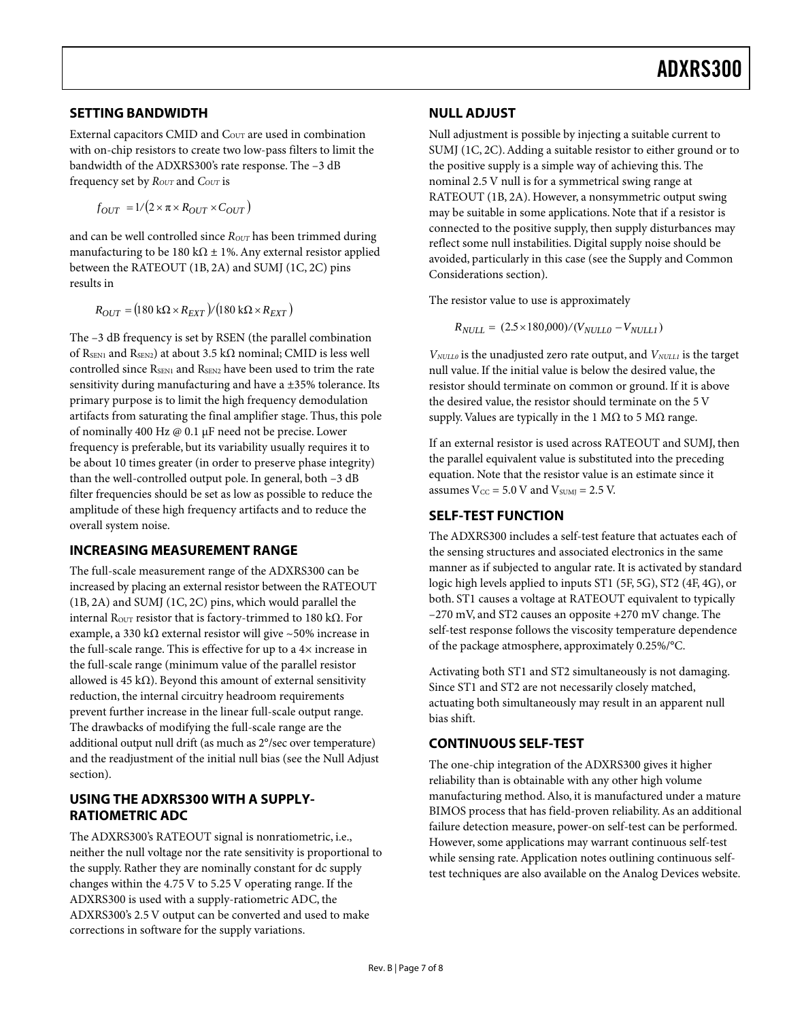### <span id="page-6-0"></span>**SETTING BANDWIDTH**

External capacitors CMID and C<sub>OUT</sub> are used in combination with on-chip resistors to create two low-pass filters to limit the bandwidth of the ADXRS300's rate response. The –3 dB frequency set by  $R_{OUT}$  and  $C_{OUT}$  is

$$
f_{OUT} = 1/(2 \times \pi \times R_{OUT} \times C_{OUT})
$$

and can be well controlled since *R*<sub>OUT</sub> has been trimmed during manufacturing to be 180 k $\Omega$  ± 1%. Any external resistor applied between the RATEOUT (1B, 2A) and SUMJ (1C, 2C) pins results in

$$
R_{OUT} = (180 \text{ k}\Omega \times R_{EXT})/(180 \text{ k}\Omega \times R_{EXT})
$$

The –3 dB frequency is set by RSEN (the parallel combination of RSEN1 and RSEN2) at about 3.5 k $\Omega$  nominal; CMID is less well controlled since RSEN1 and RSEN2 have been used to trim the rate sensitivity during manufacturing and have a ±35% tolerance. Its primary purpose is to limit the high frequency demodulation artifacts from saturating the final amplifier stage. Thus, this pole of nominally 400 Hz @ 0.1 µF need not be precise. Lower frequency is preferable, but its variability usually requires it to be about 10 times greater (in order to preserve phase integrity) than the well-controlled output pole. In general, both –3 dB filter frequencies should be set as low as possible to reduce the amplitude of these high frequency artifacts and to reduce the overall system noise.

#### <span id="page-6-1"></span>**INCREASING MEASUREMENT RANGE**

The full-scale measurement range of the ADXRS300 can be increased by placing an external resistor between the RATEOUT (1B, 2A) and SUMJ (1C, 2C) pins, which would parallel the internal R<sub>OUT</sub> resistor that is factory-trimmed to 180 kΩ. For example, a 330 kΩ external resistor will give ~50% increase in the full-scale range. This is effective for up to a 4× increase in the full-scale range (minimum value of the parallel resistor allowed is 45 k $\Omega$ ). Beyond this amount of external sensitivity reduction, the internal circuitry headroom requirements prevent further increase in the linear full-scale output range. The drawbacks of modifying the full-scale range are the additional output null drift (as much as 2°/sec over temperature) and the readjustment of the initial null bias (see the [Null Adjust](#page-6-3)  section).

### <span id="page-6-2"></span>**USING THE ADXRS300 WITH A SUPPLY-RATIOMETRIC ADC**

The ADXRS300's RATEOUT signal is nonratiometric, i.e., neither the null voltage nor the rate sensitivity is proportional to the supply. Rather they are nominally constant for dc supply changes within the 4.75 V to 5.25 V operating range. If the ADXRS300 is used with a supply-ratiometric ADC, the ADXRS300's 2.5 V output can be converted and used to make corrections in software for the supply variations.

## <span id="page-6-3"></span>**NULL ADJUST**

Null adjustment is possible by injecting a suitable current to SUMJ (1C, 2C). Adding a suitable resistor to either ground or to the positive supply is a simple way of achieving this. The nominal 2.5 V null is for a symmetrical swing range at RATEOUT (1B, 2A). However, a nonsymmetric output swing may be suitable in some applications. Note that if a resistor is connected to the positive supply, then supply disturbances may reflect some null instabilities. Digital supply noise should be avoided, particularly in this case (see the [Supply and Common](#page-5-3)  [Considerations s](#page-5-3)ection).

The resistor value to use is approximately

$$
R_{NULL} = (2.5 \times 180,000) / (V_{NULL0} - V_{NULL1})
$$

*VNULL0* is the unadjusted zero rate output, and *VNULL1* is the target null value. If the initial value is below the desired value, the resistor should terminate on common or ground. If it is above the desired value, the resistor should terminate on the 5 V supply. Values are typically in the 1 M $\Omega$  to 5 M $\Omega$  range.

If an external resistor is used across RATEOUT and SUMJ, then the parallel equivalent value is substituted into the preceding equation. Note that the resistor value is an estimate since it assumes  $V_{CC} = 5.0 V$  and  $V_{SUMJ} = 2.5 V$ .

#### <span id="page-6-4"></span>**SELF-TEST FUNCTION**

The ADXRS300 includes a self-test feature that actuates each of the sensing structures and associated electronics in the same manner as if subjected to angular rate. It is activated by standard logic high levels applied to inputs ST1 (5F, 5G), ST2 (4F, 4G), or both. ST1 causes a voltage at RATEOUT equivalent to typically –270 mV, and ST2 causes an opposite +270 mV change. The self-test response follows the viscosity temperature dependence of the package atmosphere, approximately 0.25%/°C.

Activating both ST1 and ST2 simultaneously is not damaging. Since ST1 and ST2 are not necessarily closely matched, actuating both simultaneously may result in an apparent null bias shift.

### <span id="page-6-5"></span>**CONTINUOUS SELF-TEST**

The one-chip integration of the ADXRS300 gives it higher reliability than is obtainable with any other high volume manufacturing method. Also, it is manufactured under a mature BIMOS process that has field-proven reliability. As an additional failure detection measure, power-on self-test can be performed. However, some applications may warrant continuous self-test while sensing rate. Application notes outlining continuous selftest techniques are also available on the Analog Devices website.